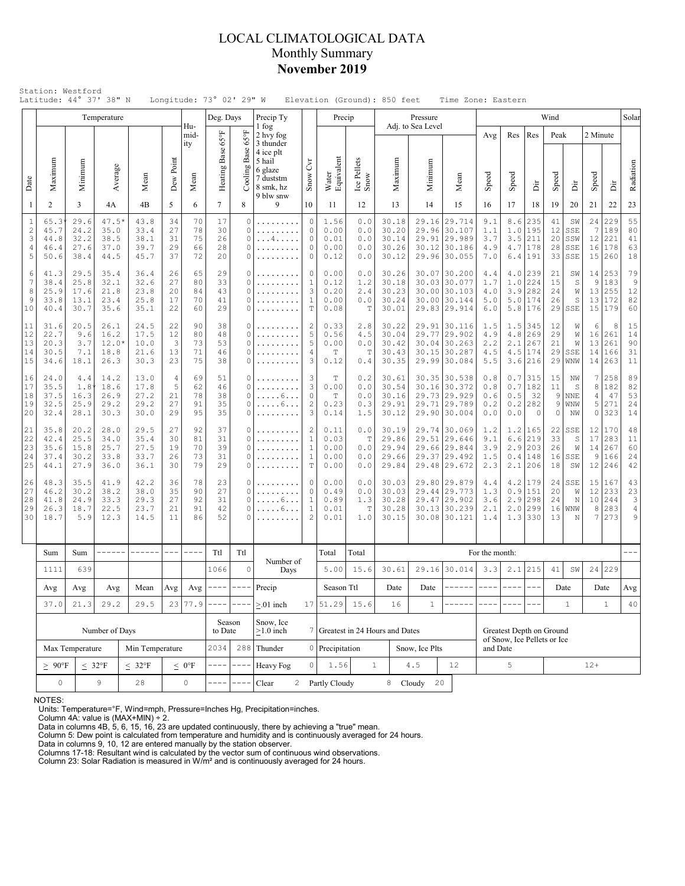### LOCAL CLIMATOLOGICAL DATA Monthly Summary **November 2019**

|                                           |                                      |                                      | Temperature                             |                                                                    |                            |                            | Deg. Days                  |                                                                                                                                                                                                                                                                                                                                                                                              | Precip Ty                                                                      |                                                          | Precip                                   |                                  |                                           | Pressure                     |                                                                              |                                         |                          |                                                              | Wind                       |                                                   |                                              |                                  | Solar                                          |
|-------------------------------------------|--------------------------------------|--------------------------------------|-----------------------------------------|--------------------------------------------------------------------|----------------------------|----------------------------|----------------------------|----------------------------------------------------------------------------------------------------------------------------------------------------------------------------------------------------------------------------------------------------------------------------------------------------------------------------------------------------------------------------------------------|--------------------------------------------------------------------------------|----------------------------------------------------------|------------------------------------------|----------------------------------|-------------------------------------------|------------------------------|------------------------------------------------------------------------------|-----------------------------------------|--------------------------|--------------------------------------------------------------|----------------------------|---------------------------------------------------|----------------------------------------------|----------------------------------|------------------------------------------------|
|                                           | Maximum                              | Minimum                              | Average                                 |                                                                    | Dew Point                  | Hu-<br>mid-<br>ity         | Heating Base 65°F          | $65^{\circ}$ F<br>Cooling Base                                                                                                                                                                                                                                                                                                                                                               | 1 fog<br>2 hvy fog<br>3 thunder<br>4 ice plt<br>5 hail<br>6 glaze<br>7 duststm | C <sub>VI</sub>                                          | Water<br>Equivalent                      | Ice Pellets<br>Snow              | Maximum                                   | Adj. to Sea Level<br>Minimur |                                                                              | Avg                                     | Res                      | Res                                                          | Peak                       |                                                   | 2 Minute                                     |                                  | Radiation                                      |
| Date                                      |                                      |                                      |                                         | Mean                                                               |                            | Mean                       |                            |                                                                                                                                                                                                                                                                                                                                                                                              | 8 smk, hz<br>9 blw snw                                                         | Snow                                                     |                                          |                                  |                                           |                              | Mean                                                                         | Speed                                   | Speed                    | Èř                                                           | Speed                      | ă                                                 | Speed                                        | ă                                |                                                |
| 1                                         | 2                                    | 3                                    | 4A                                      | 4B                                                                 | 5                          | 6                          | $7\overline{ }$            | 8                                                                                                                                                                                                                                                                                                                                                                                            | 9                                                                              | 10                                                       | 11                                       | 12                               | 13                                        | 14                           | 15                                                                           | 16                                      | 17                       | 18                                                           | 19                         | 20                                                | 21                                           | 22                               | 23                                             |
| $\mathbf{1}$<br>$\sqrt{2}$<br>3<br>4<br>5 | 65.3<br>45.7<br>44.8<br>46.4<br>50.6 | 29.6<br>24.2<br>32.2<br>27.6<br>38.4 | 47.5*<br>35.0<br>38.5<br>37.0<br>44.5   | 43.8<br>33.4<br>38.1<br>39.7<br>45.7                               | 34<br>27<br>31<br>29<br>37 | 70<br>78<br>75<br>66<br>72 | 17<br>30<br>26<br>28<br>20 | 0<br>0<br>0<br>0<br>0                                                                                                                                                                                                                                                                                                                                                                        | .<br>.<br>. 4                                                                  | $\circ$<br>0<br>0<br>0<br>0                              | 1.56<br>0.00<br>0.01<br>0.00<br>0.12     | 0.0<br>0.0<br>0.0<br>0.0<br>0.0  | 30.18<br>30.20<br>30.14<br>30.26<br>30.12 | 29.16<br>29.96               | 29.714<br>30.107<br>29.91 29.989<br>30.12 30.186<br>29.96 30.055             | 9.1<br>1.1<br>3.7<br>4.9<br>7.0         | 8.6                      | 235<br>$1.0$  195<br>$3.5$   211<br>$4.7$   178<br>6.4 191   | 41<br>12<br>20<br>28<br>33 | SW<br>SSE<br>SSW<br>SSE<br>SSE                    | 24<br>7<br>12<br>16<br>15                    | 229<br>189<br>221<br>178<br>260  | 55<br>80<br>41<br>63<br>18                     |
| 6<br>$\overline{7}$<br>8<br>9<br>10       | 41.3<br>38.4<br>25.9<br>33.8<br>40.4 | 29.5<br>25.8<br>17.6<br>13.1<br>30.7 | 35.4<br>32.1<br>21.8<br>23.4<br>35.6    | 36.4<br>32.6<br>23.8<br>25.8<br>35.1                               | 26<br>27<br>20<br>17<br>22 | 65<br>80<br>84<br>70<br>60 | 29<br>33<br>43<br>41<br>29 | 0<br>0<br>0<br>0<br>0                                                                                                                                                                                                                                                                                                                                                                        | .<br>.                                                                         | 0<br>$\mathbf{1}$<br>3<br>$\mathbf{1}$<br>T              | 0.00<br>0.12<br>0.20<br>0.00<br>0.08     | 0.0<br>1.2<br>2.4<br>0.0<br>Т    | 30.26<br>30.18<br>30.23<br>30.24<br>30.01 |                              | 30.07 30.200<br>30.03 30.077<br>30.00 30.103<br>30.00 30.144<br>29.83 29.914 | 4.4<br>1.7<br>4.0<br>5.0<br>6.0         | 5.0                      | $4.0$  239<br>$1.0$   224<br>$3.9$ 282<br>174<br>$5.8$   176 | 21<br>15<br>24<br>26<br>29 | SW<br>S<br>W<br>S<br>SSE                          | 14<br>9<br>13<br>13<br>15                    | 253<br>183<br>255<br>172<br>179  | 79<br>$\mathsf 9$<br>12<br>82<br>60            |
| 11<br>12<br>13<br>14<br>15                | 31.6<br>22.7<br>20.3<br>30.5<br>34.6 | 20.5<br>9.6<br>3.7<br>7.1<br>18.1    | 26.1<br>16.2<br>$12.0*$<br>18.8<br>26.3 | 24.5<br>17.5<br>10.0<br>21.6<br>30.3                               | 22<br>12<br>3<br>13<br>23  | 90<br>80<br>73<br>71<br>75 | 38<br>48<br>53<br>46<br>38 | 0<br>0<br>0<br>0<br>0                                                                                                                                                                                                                                                                                                                                                                        | .<br>.                                                                         | 2<br>5<br>5<br>4<br>3                                    | 0.33<br>0.56<br>0.00<br>Т<br>0.12        | 2.8<br>4.5<br>0.0<br>T<br>0.4    | 30.22<br>30.04<br>30.42<br>30.43<br>30.35 |                              | 29.91 30.116<br>29.77 29.902<br>30.04 30.263<br>30.15 30.287<br>29.99 30.084 | 1.5<br>4.9<br>2.2<br>4.5<br>5.5         | 4.8<br>2.1               | $1.5$ 345<br>269<br>267<br>$4.5$   174<br>$3.6$   216        | 12<br>29<br>21<br>29<br>29 | W<br>W<br>W<br>SSE<br>WNW                         | 6<br>16<br>13<br>14<br>14                    | 8<br>261<br>261<br>166<br>263    | 15<br>14<br>90<br>31<br>11                     |
| 16<br>17<br>18<br>19<br>20                | 24.0<br>35.5<br>37.5<br>32.5<br>32.4 | 4.4<br>1.8<br>16.3<br>25.9<br>28.1   | 14.2<br>18.6<br>26.9<br>29.2<br>30.3    | 13.0<br>17.8<br>27.2<br>29.2<br>30.0                               | 4<br>5<br>21<br>27<br>29   | 69<br>62<br>78<br>91<br>95 | 51<br>46<br>38<br>35<br>35 | 0<br>0<br>0<br>0<br>0                                                                                                                                                                                                                                                                                                                                                                        | . 6<br>. 6                                                                     | 3<br>3<br>0<br>$\mathbf{2}$<br>3                         | T<br>0.00<br>$\mathbb T$<br>0.23<br>0.14 | 0.2<br>0.0<br>0.0<br>0.3<br>1.5  | 30.61<br>30.54<br>30.16<br>29.91<br>30.12 |                              | 30.35 30.538<br>30.16 30.372<br>29.73 29.929<br>29.71 29.789<br>29.90 30.004 | 0.8<br>0.8<br>0.6<br>0.2<br>0.0         | 0.7<br>0.5<br>0.2<br>0.0 | $0.7$   315<br>182<br>-32<br>282<br>$\circ$                  | 15<br>11<br>9<br>9<br>0    | ΝW<br>S<br>$\ensuremath{\text{NNE}}$<br>WNW<br>NW | 7<br>8<br>$\overline{4}$<br>5<br>$\mathbb O$ | 258<br>182<br>47<br>271<br>323   | 89<br>82<br>53<br>24<br>14                     |
| 21<br>22<br>23<br>24<br>25                | 35.8<br>42.4<br>35.6<br>37.4<br>44.1 | 20.2<br>25.5<br>15.8<br>30.2<br>27.9 | 28.0<br>34.0<br>25.7<br>33.8<br>36.0    | 29.5<br>35.4<br>27.5<br>33.7<br>36.1                               | 27<br>30<br>19<br>26<br>30 | 92<br>81<br>70<br>73<br>79 | 37<br>31<br>39<br>31<br>29 | 0<br>O<br>0<br>0<br>0                                                                                                                                                                                                                                                                                                                                                                        | .                                                                              | 2<br>$\mathbf{1}$<br>$\mathbf{1}$<br>$\mathbf{1}$<br>T   | 0.11<br>0.03<br>0.00<br>0.00<br>0.00     | 0.0<br>T<br>0.0<br>0.0<br>0.0    | 30.19<br>29.86<br>29.94<br>29.66<br>29.84 |                              | 29.74 30.069<br>29.51 29.646<br>29.66 29.844<br>29.37 29.492<br>29.48 29.672 | 1.2<br>9.1<br>3.9<br>1.5<br>2.3         | 2.9                      | $1.2$   165<br>$6.6$   219<br> 203<br>0.4 148<br>$2.1$   206 | 22<br>33<br>26<br>16<br>18 | SSE<br>S<br>W<br>SSE<br>SW                        | 12<br>17<br>14<br>9<br>12                    | 170<br>283<br>267<br>166<br>246  | 48<br>11<br>60<br>24<br>42                     |
| 26<br>27<br>28<br>29<br>30                | 48.3<br>46.2<br>41.8<br>26.3<br>18.7 | 35.5<br>30.2<br>24.9<br>18.7<br>5.9  | 41.9<br>38.2<br>33.3<br>22.5<br>12.3    | 42.2<br>36<br>38.0<br>35<br>29.3<br>27<br>21<br>23.7<br>14.5<br>11 |                            | 78<br>90<br>92<br>91<br>86 | 23<br>27<br>31<br>42<br>52 | 0<br>0<br>0<br>0<br>O                                                                                                                                                                                                                                                                                                                                                                        | . 6<br>. 6                                                                     | 0<br>0<br>$\mathbf{1}$<br>$\mathbf{1}$<br>$\overline{c}$ | 0.00<br>0.49<br>0.89<br>0.01<br>0.01     | 0.0<br>0.0<br>1.3<br>Т<br>1.0    | 30.03<br>30.03<br>30.28<br>30.28<br>30.15 |                              | 29.80 29.879<br>29.44 29.773<br>29.47 29.902<br>30.13 30.239<br>30.08 30.121 | 4.4<br>1.3<br>3.6<br>2.1<br>1.4         | 0.9                      | $4.2$   179<br> 151<br>$2.9$  298<br>$2.0$ 299<br>$1.3$ 330  | 24<br>20<br>24<br>16<br>13 | SSE<br>W<br>N<br><b>WNW</b><br>N                  | 15<br>12<br>10<br>8<br>7                     | 167<br> 233<br>244<br>283<br>273 | 43<br>23<br>$\mathsf 3$<br>$\overline{4}$<br>9 |
|                                           | Sum                                  | Sum                                  |                                         | ------                                                             | $---$                      | $\frac{1}{2}$              | Ttl                        | Ttl                                                                                                                                                                                                                                                                                                                                                                                          |                                                                                |                                                          | Total                                    | Total                            |                                           |                              |                                                                              | For the month:                          |                          |                                                              |                            |                                                   |                                              |                                  |                                                |
|                                           | 1111                                 | 639                                  |                                         |                                                                    |                            |                            | 1066                       | $\circ$                                                                                                                                                                                                                                                                                                                                                                                      | Number of<br>Days                                                              |                                                          | 5.00                                     | 15.6                             | 30.61                                     |                              | 29.16 30.014                                                                 | 3.3                                     |                          | $2.1$   215                                                  | 41                         | SW                                                | 24                                           | 229                              |                                                |
|                                           | Avg                                  | Avg<br>Avg                           |                                         | Mean                                                               | Avg                        | Avg                        | $---$                      | $\rightarrow$ $\rightarrow$ $\rightarrow$ $\rightarrow$                                                                                                                                                                                                                                                                                                                                      | Precip                                                                         |                                                          | Season Ttl                               |                                  | Date                                      | Date                         | ------                                                                       | $\frac{1}{2}$                           | ----                     | $---$                                                        |                            | Date                                              |                                              | Date                             | Avg                                            |
|                                           | 21.3<br>29.2<br>29.5<br>37.0         |                                      |                                         |                                                                    |                            | 231<br>77.9                |                            |                                                                                                                                                                                                                                                                                                                                                                                              | $> 01$ inch                                                                    |                                                          | 17 51.29                                 | 15.6                             | 16                                        | $\mathbf{1}$                 |                                                                              |                                         |                          |                                                              |                            | $\mathbf{1}$                                      |                                              | $\mathbf{1}$                     | 40                                             |
|                                           |                                      |                                      | Number of Days                          |                                                                    |                            | Season<br>to Date          |                            | Snow, Ice<br>$\geq$ 1.0 inch                                                                                                                                                                                                                                                                                                                                                                 |                                                                                |                                                          |                                          | 7 Greatest in 24 Hours and Dates |                                           |                              |                                                                              | Greatest Depth on Ground                |                          |                                                              |                            |                                                   |                                              |                                  |                                                |
|                                           |                                      | Max Temperature                      |                                         | Min Temperature                                                    |                            |                            | 2034                       |                                                                                                                                                                                                                                                                                                                                                                                              | 288 Thunder                                                                    |                                                          | 0 Precipitation                          |                                  |                                           | Snow, Ice Plts               |                                                                              | of Snow, Ice Pellets or Ice<br>and Date |                          |                                                              |                            |                                                   |                                              |                                  |                                                |
|                                           | $\geq~90^{\circ}\rm{F}$              |                                      | $\leq 32^{\circ}F$                      | $\leq 32^{\circ}F$                                                 |                            | $\leq 0$ °F                |                            | $\frac{1}{2} \frac{1}{2} \frac{1}{2} \frac{1}{2} \frac{1}{2} \frac{1}{2} \frac{1}{2} \frac{1}{2} \frac{1}{2} \frac{1}{2} \frac{1}{2} \frac{1}{2} \frac{1}{2} \frac{1}{2} \frac{1}{2} \frac{1}{2} \frac{1}{2} \frac{1}{2} \frac{1}{2} \frac{1}{2} \frac{1}{2} \frac{1}{2} \frac{1}{2} \frac{1}{2} \frac{1}{2} \frac{1}{2} \frac{1}{2} \frac{1}{2} \frac{1}{2} \frac{1}{2} \frac{1}{2} \frac{$ | Heavy Fog                                                                      | $\circ$                                                  | 1.56                                     | $1\,$                            |                                           | 4.5                          | 12                                                                           |                                         | 5                        |                                                              |                            |                                                   | $12 +$                                       |                                  |                                                |
|                                           | $\mathsf{O}\xspace$                  | $28$                                 |                                         | $\mathsf{O}\xspace$                                                |                            |                            | Clear                      |                                                                                                                                                                                                                                                                                                                                                                                              | 2 Partly Cloudy                                                                |                                                          | 8                                        | Cloudy<br>20                     |                                           |                              |                                                                              |                                         |                          |                                                              |                            |                                                   |                                              |                                  |                                                |

NOTES:

Units: Temperature=°F, Wind=mph, Pressure=Inches Hg, Precipitation=inches. Column 4A: value is (MAX+MIN) ÷ 2. Data in columns 4B, 5, 6, 15, 16, 23 are updated continuously, there by achieving a "true" mean.

Column 5: Dew point is calculated from temperature and humidity and is continuously averaged for 24 hours. Data in columns 9, 10, 12 are entered manually by the station observer.

Columns 17-18: Resultant wind is calculated by the vector sum of continuous wind observations. Column 23: Solar Radiation is measured in W/m² and is continuously averaged for 24 hours.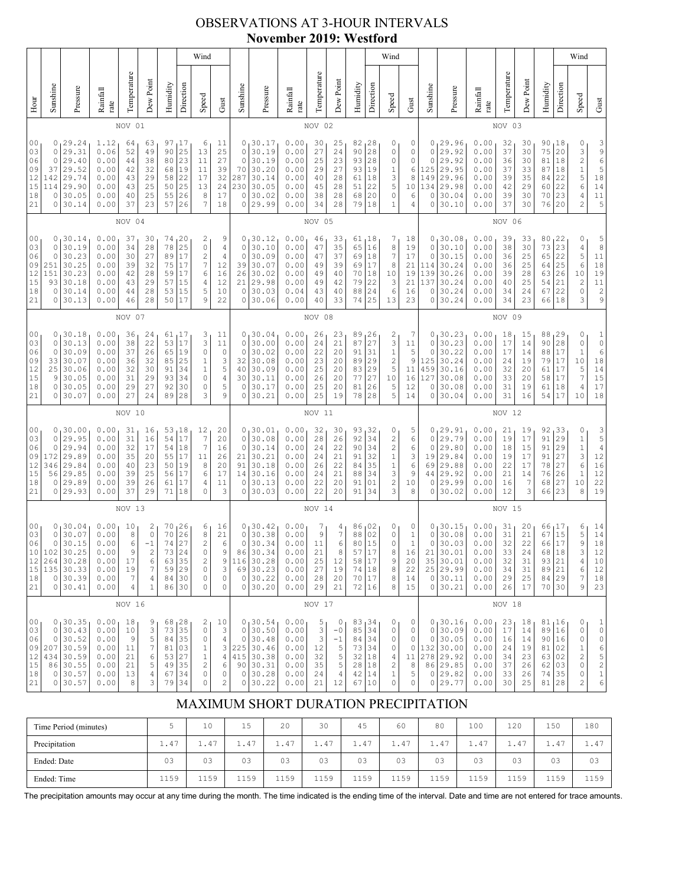### OBSERVATIONS AT 3-HOUR INTERVALS **November 2019: Westford**

|                                                          |                                                                                                                                                                                                                                                                                                                                                                                                                                |                                                                            |                                                              |                                              |                                                                          |                                              |                                                            | Wind                                                                                              |                                                                      |                                                                  |                                                                             |                                                              |                                              |                                                                |                                                  |                                                                                | Wind                                                                                             |                                                                      |                                                              |                                                                              |                                                              |                                                 |                                              |                                                                                    |                                                                                                           | Wind                                                                                                                                                              |                                                                                                        |
|----------------------------------------------------------|--------------------------------------------------------------------------------------------------------------------------------------------------------------------------------------------------------------------------------------------------------------------------------------------------------------------------------------------------------------------------------------------------------------------------------|----------------------------------------------------------------------------|--------------------------------------------------------------|----------------------------------------------|--------------------------------------------------------------------------|----------------------------------------------|------------------------------------------------------------|---------------------------------------------------------------------------------------------------|----------------------------------------------------------------------|------------------------------------------------------------------|-----------------------------------------------------------------------------|--------------------------------------------------------------|----------------------------------------------|----------------------------------------------------------------|--------------------------------------------------|--------------------------------------------------------------------------------|--------------------------------------------------------------------------------------------------|----------------------------------------------------------------------|--------------------------------------------------------------|------------------------------------------------------------------------------|--------------------------------------------------------------|-------------------------------------------------|----------------------------------------------|------------------------------------------------------------------------------------|-----------------------------------------------------------------------------------------------------------|-------------------------------------------------------------------------------------------------------------------------------------------------------------------|--------------------------------------------------------------------------------------------------------|
| Hour                                                     | Sunshine                                                                                                                                                                                                                                                                                                                                                                                                                       | Pressure                                                                   | Rainfall<br>rate                                             | Temperature                                  | Dew Point                                                                | Humidity                                     | Direction                                                  | Speed                                                                                             | Gust                                                                 | Sunshine                                                         | Pressure                                                                    | Rainfall<br>rate                                             | Temperature                                  | Dew Point                                                      | Humidity                                         | Direction                                                                      | Speed                                                                                            | Gust                                                                 | Sunshine                                                     | Pressure                                                                     | Rainfall<br>rate                                             | Temperature                                     | Dew Point                                    | Humidity                                                                           | Direction                                                                                                 | Speed                                                                                                                                                             | Gust                                                                                                   |
|                                                          |                                                                                                                                                                                                                                                                                                                                                                                                                                |                                                                            |                                                              | NOV 01                                       |                                                                          |                                              |                                                            |                                                                                                   |                                                                      |                                                                  |                                                                             |                                                              | NOV 02                                       |                                                                |                                                  |                                                                                |                                                                                                  |                                                                      |                                                              |                                                                              |                                                              | NOV 03                                          |                                              |                                                                                    |                                                                                                           |                                                                                                                                                                   |                                                                                                        |
| 0 <sub>0</sub><br>03<br>06<br>09<br>12<br>15<br>18<br>21 | 29.24<br>1.12<br>97<br>17<br>6<br>0<br>64<br>63<br>29.31<br>0.06<br>25<br>13<br>0<br>52<br>49<br>90<br>23<br>29.40<br>0<br>0.00<br>38<br>80<br>11<br>44<br>29.52<br>0.00<br>37<br>42<br>32<br>19<br>11<br>68<br>29.74<br>22<br>142<br>0.00<br>43<br>29<br>17<br>58<br>25<br>29.90<br>114<br>0.00<br>43<br>25<br>50<br>13<br>30.05<br>25<br>26<br>0<br>0.00<br>40<br>55<br>8<br>7<br>30.14<br>37<br>23<br>57<br>26<br>0<br>0.00 |                                                                            |                                                              |                                              |                                                                          |                                              | 11<br>25<br>27<br>39<br>32<br>24<br>17<br>18               | 0<br>0<br>$\circ$<br>70<br>287<br>230<br>$\mathbf 0$<br>0                                         | 30.17<br>30.19<br>30.19<br>30.20<br>30.14<br>30.05<br>30.02<br>29.99 | 0.00<br>0.00<br>0.00<br>0.00<br>0.00<br>0.00<br>0.00<br>0.00     | 30<br>27<br>25<br>29<br>40<br>45<br>38<br>34                                | 25<br>24<br>23<br>27<br>28<br>28<br>28<br>28                 | 82<br>90<br>93<br>93<br>61<br>51<br>68<br>79 | 128<br>28<br>28<br>19<br>18<br>22<br>20<br>18                  | 0<br>0<br>0<br>$\mathbf{1}$<br>3<br>5<br>0<br>1  | 0<br>0<br>0<br>6<br>8<br>10<br>6<br>4                                          | 0<br>0<br>0<br>125<br>149<br>134<br>0<br>0                                                       | 29.96<br>29.92<br>29.92<br>29.95<br>29.96<br>29.98<br>30.04<br>30.10 | 0.00<br>0.00<br>0.00<br>0.00<br>0.00<br>0.00<br>0.00<br>0.00 | 32<br>37<br>36<br>37<br>39<br>42<br>39<br>37                                 | 30<br>30<br>30<br>33<br>35<br>29<br>30<br>30                 | 90,18<br>75<br>81<br>87<br>84<br>60<br>70<br>76 | 20<br>18<br>18<br>22<br>22<br>23<br>20       | 0<br>3<br>$\overline{\mathbf{c}}$<br>$\,1$<br>$\frac{5}{6}$<br>4<br>$\overline{c}$ | 3<br>$\begin{array}{c} 9 \\ 6 \end{array}$<br>5<br>$\begin{array}{c} 1\,8 \\ 1\,4 \end{array}$<br>11<br>5 |                                                                                                                                                                   |                                                                                                        |
|                                                          |                                                                                                                                                                                                                                                                                                                                                                                                                                |                                                                            |                                                              | NOV 04                                       |                                                                          |                                              |                                                            |                                                                                                   |                                                                      |                                                                  |                                                                             |                                                              | NOV 05                                       |                                                                |                                                  |                                                                                |                                                                                                  |                                                                      |                                                              |                                                                              |                                                              | NOV 06                                          |                                              |                                                                                    |                                                                                                           |                                                                                                                                                                   |                                                                                                        |
| 00<br>03<br>06<br>09<br>12<br>15<br>18<br>21             | 0<br>$\mathbf 0$<br>0<br>251<br>151<br>93<br>0<br>0                                                                                                                                                                                                                                                                                                                                                                            | 30.14<br>30.19<br>30.23<br>30.25<br>30.23<br>30.18<br>30.14<br>30.13       | 0.00<br>0.00<br>0.00<br>0.00<br>0.00<br>0.00<br>0.00<br>0.00 | 37<br>34<br>30<br>39<br>42<br>43<br>44<br>46 | 30<br>28<br>27<br>32<br>28<br>29<br>28<br>28                             | 74<br>78<br>89<br>75<br>59<br>57<br>53<br>50 | 20<br>25<br>17<br>17<br>17<br>15<br>15<br>17               | 2<br>$\circ$<br>$\overline{\mathbf{c}}$<br>$\boldsymbol{7}$<br>6<br>4<br>5<br>9                   | 9<br>4<br>$\overline{4}$<br>12<br>16<br>12<br>10<br>22               | 0<br>$\circ$<br>0<br>39<br>26<br>21<br>$\circ$<br>0              | 30.12<br>30.10<br>30.09<br>30.07<br>30.02<br>29.98<br>30.03<br>30.06        | 0.00<br>0.00<br>0.00<br>0.00<br>0.00<br>0.00<br>0.04<br>0.00 | 46<br>47<br>47<br>49<br>49<br>49<br>43<br>40 | 33<br>35<br>37<br>39<br>40<br>42<br>40<br>33                   | 61<br>65<br>69<br>69<br>70<br>79<br>88<br>74     | <sub>l</sub> 18<br>16<br>18<br>17<br>18<br>22<br>24<br>25                      | 7<br>8<br>7<br>8<br>10<br>3<br>6<br>13                                                           | 18<br>19<br>17<br>21<br>19<br>21<br>16<br>23                         | 0<br>0<br>0<br>114<br>139<br>137<br>0<br>0                   | 30.08<br>30.10<br>30.15<br>30.24<br>30.26<br>30.24<br>30.24<br>30.24         | 0.00<br>0.00<br>0.00<br>0.00<br>0.00<br>0.00<br>0.00<br>0.00 | 39<br>38<br>36<br>36<br>39<br>40<br>34<br>34    | 33<br>30<br>25<br>25<br>28<br>25<br>24<br>23 | 80<br>73<br>65<br>64<br>63<br>54<br>67<br>66                                       | 22<br>23<br>22<br>25<br>26<br>21<br>22<br>18                                                              | 0<br>4<br>5<br>$\epsilon$<br>$10$<br>$\mathfrak{2}% _{T}=\mathfrak{2}_{T}\!\left( a,b\right) ,\ \mathfrak{2}_{T}=\mathfrak{2}_{T}\!\left( a,b\right) ,$<br>0<br>3 | 5<br>$\,$ 8 $\,$<br>$11\,$<br>$\begin{array}{c} 18 \\ 19 \\ 11 \\ 2 \end{array}$<br>9                  |
|                                                          | NOV 07                                                                                                                                                                                                                                                                                                                                                                                                                         |                                                                            |                                                              |                                              |                                                                          |                                              |                                                            |                                                                                                   |                                                                      |                                                                  | NOV 08                                                                      |                                                              |                                              |                                                                |                                                  |                                                                                |                                                                                                  |                                                                      |                                                              | NOV 09                                                                       |                                                              |                                                 |                                              |                                                                                    |                                                                                                           |                                                                                                                                                                   |                                                                                                        |
| 00<br>03<br>06<br>09<br>12<br>15<br>18<br>21             | 0<br>0<br>33<br>25<br>9<br>0<br>0                                                                                                                                                                                                                                                                                                                                                                                              | 0, 30.18<br>30.13<br>30.09<br>30.07<br>30.06<br>30.05<br>30.05<br>30.07    | 0.00<br>0.00<br>0.00<br>0.00<br>0.00<br>0.00<br>0.00<br>0.00 | 36<br>38<br>37<br>36<br>32<br>31<br>29<br>27 | 24<br>22<br>26<br>32<br>30<br>29<br>27<br>24                             | 53<br>65<br>85<br>91<br>93<br>92<br>89       | 61, 17<br>17<br>19<br>25<br>34<br>34<br>30<br>28           | 3<br>3<br>$\circ$<br>$\mathbf{1}$<br>$\mathbf{1}$<br>$\mathbb O$<br>0<br>3                        | 11<br>11<br>0<br>3<br>5<br>4<br>5<br>9                               | 0<br>$\circ$<br>0<br>32<br>40<br>30<br>$\mathbf 0$<br>0          | 130.04<br>30.00<br>30.02<br>30.08<br>30.09<br>30.11<br>30.17<br>30.21       | 0.00<br>0.00<br>0.00<br>0.00<br>0.00<br>0.00<br>0.00<br>0.00 | 26<br>24<br>22<br>23<br>25<br>26<br>25<br>25 | 23<br>21<br>20<br>20<br>20<br>20<br>20<br>19                   | 89<br>87<br>91<br>89<br>83<br>77<br>81<br>78     | 126<br>27<br>31<br>29<br>29<br>27<br>26<br>28                                  | 2<br>3<br>$\,1$<br>$\overline{\mathbf{c}}$<br>5<br>10<br>5<br>5                                  | 7<br>11<br>5<br>9<br>11<br>16<br>12<br>14                            | 0<br>0<br>125<br>459<br>127<br>0<br>0                        | 0, 30, 23<br>30.23<br>30.22<br>30.24<br>30.16<br>30.08<br>30.08<br>30.04     | 0.00<br>0.00<br>0.00<br>0.00<br>0.00<br>0.00<br>0.00<br>0.00 | 18<br>17<br>17<br>24<br>32<br>33<br>31<br>31    | 15<br>14<br>14<br>19<br>20<br>20<br>19<br>16 | 88<br>90<br>88<br>79<br>61<br>58<br>61<br>54                                       | 29 ا<br>28<br>17<br>17<br>17<br> 17<br>18<br>17                                                           | 0<br>0<br>1<br>10<br>5<br>$\boldsymbol{7}$<br>4<br>10                                                                                                             | 1<br>$\mathbb O$<br>6<br>$1\,8$<br>$1\,4$<br>$15$<br>$17$<br>18                                        |
|                                                          |                                                                                                                                                                                                                                                                                                                                                                                                                                |                                                                            |                                                              | NOV 10                                       |                                                                          |                                              |                                                            |                                                                                                   |                                                                      |                                                                  |                                                                             |                                                              | NOV 11                                       |                                                                |                                                  |                                                                                |                                                                                                  |                                                                      |                                                              |                                                                              |                                                              | NOV 12                                          |                                              |                                                                                    |                                                                                                           |                                                                                                                                                                   |                                                                                                        |
| 0 <sub>0</sub><br>03<br>06<br>09<br>12<br>15<br>18<br>21 | 0<br>0<br>0<br>172<br>346<br>56<br>0<br>0                                                                                                                                                                                                                                                                                                                                                                                      | 130.00<br>29.95<br>29.94<br>29.89<br>29.84<br>29.85<br>29.89<br>29.93      | 0.00<br>0.00<br>0.00<br>0.00<br>0.00<br>0.00<br>0.00<br>0.00 | 31<br>31<br>32<br>35<br>40<br>39<br>39<br>37 | 16<br>16<br>17<br>20<br>23<br>25<br>26<br>29                             | 54<br>54<br>55<br>50<br>56<br>61<br>71       | 53,18<br>17<br>18<br>$17$<br>19<br>17<br>17<br>18          | 12<br>$\overline{7}$<br>7<br>11<br>8<br>6<br>4<br>$\circ$                                         | 20<br>20<br>16<br>26<br>20<br>17<br>11<br>3                          | $\circ$<br>0<br>21<br>91<br>14<br>0<br>0                         | 0, 30.01<br>30.08<br>30.14<br>30.21<br>30.18<br>30.16<br>30.13<br>30.03     | 0.00<br>0.00<br>0.00<br>0.00<br>0.00<br>0.00<br>0.00<br>0.00 | 32<br>28<br>24<br>24<br>26<br>24<br>22<br>22 | 30<br>26<br>22<br>21<br>22<br>21<br>20<br>20                   | 93<br>92<br>90<br>91<br>84<br>88<br>91<br>91     | 132<br>34<br>34<br>32<br>35<br>34<br>01<br>34                                  | 0<br>$\sqrt{2}$<br>$\overline{c}$<br>$\,1$<br>$1\,$<br>3<br>$\overline{\mathbf{c}}$<br>3         | 5<br>6<br>6<br>3<br>6<br>9<br>10<br>8                                | 0<br>0<br>0<br>19<br>69<br>44<br>0<br>$\circ$                | 29.91<br>29.79<br>29.80<br>29.84<br>29.88<br>29.92<br>29.99<br>30.02         | 0.00<br>0.00<br>0.00<br>0.00<br>0.00<br>0.00<br>0.00<br>0.00 | 21<br>19<br>18<br>19<br>22<br>21<br>16<br>12    | 19<br>17<br>15<br>17<br>17<br>14<br>7<br>3   | 92<br>91<br>91<br>91<br>78<br>76<br>68<br>66                                       | 33 ر<br>29<br>29<br>27<br>27<br>26<br>27<br>23                                                            | 0<br>$\,1$<br>$\,1$<br>3<br>$\epsilon$<br>$\,1\,$<br>10<br>8                                                                                                      | $\frac{3}{5}$<br>$\sqrt{4}$<br>$12\,$<br>$\begin{array}{c} 16 \\ 12 \end{array}$<br>22<br>19           |
|                                                          |                                                                                                                                                                                                                                                                                                                                                                                                                                | NOV 13                                                                     |                                                              |                                              |                                                                          |                                              |                                                            |                                                                                                   |                                                                      | NOV 14                                                           |                                                                             |                                                              |                                              |                                                                |                                                  |                                                                                |                                                                                                  |                                                                      | NOV 15                                                       |                                                                              |                                                              |                                                 |                                              |                                                                                    |                                                                                                           |                                                                                                                                                                   |                                                                                                        |
| 00<br>03<br>06<br>10<br>12<br>15<br>18<br>21             | 0<br>$\mathsf{O}\xspace$<br>102<br>264<br>135<br>0<br>0                                                                                                                                                                                                                                                                                                                                                                        | 0, 30.04<br>30.07<br>30.15<br>30.25<br>30.28<br>30.33<br>30.39<br>30.41    | 0.00<br>0.00<br>0.00<br>0.00<br>0.00<br>0.00<br>0.00<br>0.00 | 10<br>8<br>6<br>9<br>17<br>19<br>7<br>4      | 2<br>$\mathbb O$<br>$-1$<br>2<br>6<br>$\overline{\phantom{a}}$<br>4<br>1 | 70<br>70<br>74<br>73<br>63<br>59<br>84<br>86 | 26<br>26<br>$2\,7$<br>24<br>$rac{1}{35}$<br>29<br>30<br>30 | 6<br>$\,$ 8 $\,$<br>$\sqrt{2}$<br>0<br>$\overline{\mathbf{c}}$<br>$\mathbb O$<br>$\mathbb O$<br>0 | 16<br>21<br>6<br>9<br>$\mathsf 9$<br>$\mathsf 3$<br>$\mathbb O$<br>0 | 0<br>0<br>$\mathbb O$<br>86<br>116<br>69<br>$\circ$<br>0         | 30.42<br>30.38<br>30.34<br>30.34<br>30.28<br>30.23<br>30.22<br>30.20        | 0.00<br>0.00<br>0.00<br>0.00<br>0.00<br>0.00<br>0.00<br>0.00 | 7<br>9<br>11<br>21<br>25<br>27<br>28<br>29   | 4<br>$\boldsymbol{7}$<br>6<br>8<br>12<br>19<br>20<br>21        | 86<br>88<br>80<br>57<br>58<br>$7\,4$<br>70<br>72 | 102<br>02<br>15<br>17<br>$\begin{array}{ c } 17 \\ 18 \end{array}$<br>17<br>16 | 0<br>0<br>0<br>8<br>9<br>$\,8\,$<br>8<br>8                                                       | 0<br>$\mathbf{1}$<br>$\mathbbm{1}$<br>16<br>20<br>22<br>14<br>15     | 0<br>0<br>$\circ$<br>21<br>35<br>$\circ$<br>$\circ$          | 30.15<br>30.08<br>30.03<br>30.01<br>30.01<br>25 29.99<br>30.11<br>30.21      | 0.00<br>0.00<br>0.00<br>0.00<br>0.00<br>0.00<br>0.00<br>0.00 | 31<br>31<br>32<br>33<br>32<br>34<br>29<br>26    | 20<br>21<br>22<br>24<br>31<br>31<br>25<br>17 | 66, 17<br>67<br>66<br>68<br>93<br>89<br>84 29<br>70 30                             | 15<br>17<br>18<br>21<br>$ _{21}$                                                                          | 6<br>5<br>9<br>3<br>$\sqrt{4}$<br>6<br>7<br>9                                                                                                                     | 14<br>14<br>18<br>12<br>$10$<br>12<br>18<br>23                                                         |
|                                                          |                                                                                                                                                                                                                                                                                                                                                                                                                                |                                                                            |                                                              | NOV 16                                       |                                                                          |                                              |                                                            |                                                                                                   |                                                                      |                                                                  |                                                                             |                                                              | NOV 17                                       |                                                                |                                                  |                                                                                |                                                                                                  |                                                                      |                                                              |                                                                              |                                                              | NOV 18                                          |                                              |                                                                                    |                                                                                                           |                                                                                                                                                                   |                                                                                                        |
| 00<br>03<br>06<br>09<br>12<br>15<br>18<br>21             | $\circ$<br>0<br>207<br>434<br>0<br>0                                                                                                                                                                                                                                                                                                                                                                                           | 0, 30.35<br>30.43<br>30.52<br>30.59<br>30.59<br>86 30.55<br>30.57<br>30.57 | 0.00<br>0.00<br>0.00<br>0.00<br>0.00<br>0.00<br>0.00<br>0.00 | 18<br>10<br>9<br>11<br>21<br>21<br>13<br>8   | 9<br>3<br>5<br>$\boldsymbol{7}$<br>6<br>5<br>4<br>3                      | 68<br>73<br>84<br>81<br>53<br>49<br>67<br>79 | 1 <sup>28</sup><br>35<br>35<br>03<br>27<br>35<br>34<br>34  | 2<br>$\circ$<br>$\circ$<br>$\mathbf{1}$<br>$1\,$<br>$\mathbf{2}$<br>$\mathbb O$<br>$\mathbb O$    | 10<br>3<br>$\sqrt{4}$<br>3<br>$\sqrt{4}$<br>6<br>0<br>$\sqrt{2}$     | $\circ$<br>$\circ$<br>415<br>90 <sub>1</sub><br>0<br>$\mathbb O$ | 0, 30.54<br>30.50<br>30.48<br>225 30.46<br>30.38<br>30.31<br>30.28<br>30.22 | 0.00<br>0.00<br>0.00<br>0.00<br>0.00<br>0.00<br>0.00<br>0.00 | 5<br>3<br>3<br>12<br>32<br>35<br>24<br>21    | 0<br>$-0$<br>$-1$<br>5<br>5<br>$\mathsf S$<br>$\sqrt{4}$<br>12 | 83,34<br>85<br>84<br>73<br>32<br>28<br>42<br>67  | 34<br>34<br>34<br>18<br>18<br>14<br>10                                         | 0<br>$\mathbb O$<br>0<br>0<br>4<br>$\overline{\mathbf{c}}$<br>$\mathbf 1$<br>$\mathsf{O}\xspace$ | 0<br>0<br>0<br>0<br>11<br>8<br>5<br>0                                | 0<br>0<br>132<br>278<br>$\circ$                              | 0, 30.16<br>30.09<br>30.05<br>30.00<br>29.92<br>86 29.85<br>29.82<br>0 29.77 | 0.00<br>0.00<br>0.00<br>0.00<br>0.00<br>0.00<br>0.00<br>0.00 | 23<br>17<br>16<br>24<br>34<br>37<br>33<br>30    | 18<br>14<br>14<br>19<br>23<br>26<br>26<br>25 | 81, 16<br>89<br>90 16<br>81<br>63<br>62<br>74<br>81                                | 16<br>02<br>02<br>03<br>35<br>28                                                                          | 0<br>0<br>0<br>$\mathbf 1$<br>$\overline{\mathbf{c}}$<br>0<br>0<br>2                                                                                              | $\mathbf{1}$<br>$\mathbb O$<br>$\mathbb O$<br>$\begin{array}{c} 6 \\ 5 \\ 2 \end{array}$<br>$\,1$<br>6 |

# MAXIMUM SHORT DURATION PRECIPITATION

| Time Period (minutes) | ت                        | 10          | 1 <sup>5</sup><br>∸ | 20   | 30   | 45                 | 60   | 80   | 100  | 120                        | 150                     | 180  |
|-----------------------|--------------------------|-------------|---------------------|------|------|--------------------|------|------|------|----------------------------|-------------------------|------|
| Precipitation         | $\sqrt{2}$<br>$\perp$ .4 | 1.47        | $1.47$              | 1.47 | 1.47 | 1.47               | 1.47 | 1.47 | 1.47 | $.4^{\circ}$<br><b>. .</b> | $\sim$<br>$\pm$ . 4 $'$ | 1.47 |
| Ended: Date           | 03                       | 03          | 03                  | 03   | 03   | 03                 | 03   | 03   | 03   | 03                         | 03                      | 03   |
| Ended: Time           | 1159                     | 1159<br>ᆂᆂᅼ | 1159                | 1159 | 1159 | 150<br><b>++</b> - | 1159 | 1159 | 1159 | 150<br>ᆂᆂᇢᇰ                | 150<br><b>++</b>        | 1159 |

The precipitation amounts may occur at any time during the month. The time indicated is the ending time of the interval. Date and time are not entered for trace amounts.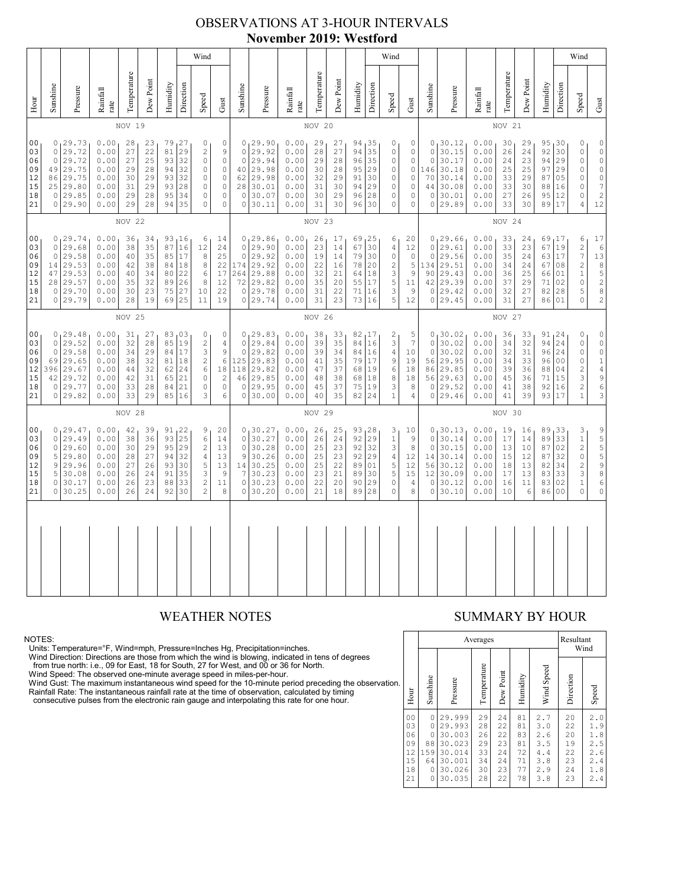### OBSERVATIONS AT 3-HOUR INTERVALS **November 2019: Westford**

|                                                          |                                                                                                                                                                                                                                                                                                                                                                                                                                                                                                                                                              |                                                                           |                                                              |                                              |                                              |                                              |                                                  | Wind                                                                                     |                                                                                |                                                                      |                                                                          |                                                              |                                                 |                                              |                                                  |                                                      | Wind                                                         |                                                                           |                                                              |                                                                                    |                                                              |                                                 |                                              |                                                                |                                                                                                  | Wind                                                                                                                                                                                                                                                                                                       |                                                                                                            |
|----------------------------------------------------------|--------------------------------------------------------------------------------------------------------------------------------------------------------------------------------------------------------------------------------------------------------------------------------------------------------------------------------------------------------------------------------------------------------------------------------------------------------------------------------------------------------------------------------------------------------------|---------------------------------------------------------------------------|--------------------------------------------------------------|----------------------------------------------|----------------------------------------------|----------------------------------------------|--------------------------------------------------|------------------------------------------------------------------------------------------|--------------------------------------------------------------------------------|----------------------------------------------------------------------|--------------------------------------------------------------------------|--------------------------------------------------------------|-------------------------------------------------|----------------------------------------------|--------------------------------------------------|------------------------------------------------------|--------------------------------------------------------------|---------------------------------------------------------------------------|--------------------------------------------------------------|------------------------------------------------------------------------------------|--------------------------------------------------------------|-------------------------------------------------|----------------------------------------------|----------------------------------------------------------------|--------------------------------------------------------------------------------------------------|------------------------------------------------------------------------------------------------------------------------------------------------------------------------------------------------------------------------------------------------------------------------------------------------------------|------------------------------------------------------------------------------------------------------------|
| Hour                                                     | Sunshine                                                                                                                                                                                                                                                                                                                                                                                                                                                                                                                                                     | Pressure                                                                  | Rainfall<br>rate                                             | Temperature                                  | Dew Point                                    | Humidity                                     | Direction                                        | Speed                                                                                    | Gust                                                                           | Sunshine                                                             | Pressure                                                                 | Rainfall<br>rate                                             | Temperature                                     | Dew Point                                    | Humidity                                         | Direction                                            | Speed                                                        | ${\rm Gust}$                                                              | Sunshine                                                     | Pressure                                                                           | Rainfall<br>rate                                             | Temperature                                     | Dew Point                                    | Humidity                                                       | Direction                                                                                        | Speed                                                                                                                                                                                                                                                                                                      | Gust                                                                                                       |
|                                                          |                                                                                                                                                                                                                                                                                                                                                                                                                                                                                                                                                              |                                                                           |                                                              | NOV 19                                       |                                              |                                              |                                                  |                                                                                          |                                                                                |                                                                      |                                                                          |                                                              | NOV 20                                          |                                              |                                                  |                                                      |                                                              |                                                                           |                                                              |                                                                                    |                                                              | NOV 21                                          |                                              |                                                                |                                                                                                  |                                                                                                                                                                                                                                                                                                            |                                                                                                            |
| 0 <sub>0</sub><br>03<br>06<br>09<br>12<br>15<br>18<br>21 | 0, 29, 73<br>0.00<br>28<br>79, 27<br>0<br>$\circ$<br>23<br>$\circ$<br>29.72<br>0.00<br>27<br>22<br>81<br>29<br>$\overline{c}$<br>$\circ$<br>$\circ$<br>29.72<br>0.00<br>27<br>25<br>93<br>32<br>$\circ$<br>49<br>29.75<br>0.00<br>32<br>$\circ$<br>$\circ$<br>29<br>28<br>94<br>86<br>29.75<br>0.00<br>93<br>32<br>$\circ$<br>30<br>29<br>$\circ$<br>29.80<br>0.00<br>31<br>29<br>93<br>28<br>$\circ$<br>25<br>29.85<br>34<br>$\circ$<br>$\mathbf 0$<br>$\circ$<br>0.00<br>29<br>28<br>95<br>0 29.90<br>0.00<br>29<br>28<br>94<br>35<br>$\Omega$<br>$\Omega$ |                                                                           |                                                              |                                              |                                              |                                              | 9<br>$\mathbb O$                                 | $\circ$<br>$\circ$<br>40<br>62<br>28<br>$\mathbb O$<br>$\Omega$                          | 0, 29.90<br>29.92<br>29.94<br>29.98<br>29.98<br>30.01<br>30.07<br>30.11        | 0.00<br>0.00<br>0.00<br>0.00<br>0.00<br>0.00<br>0.00<br>0.00         | 29<br>28<br>29<br>30<br>32<br>31<br>30<br>31                             | 27<br>27<br>28<br>28<br>29<br>30<br>29<br>30                 | 94,35<br>94<br>96<br>95<br>91<br>94<br>96<br>96 | 35<br>35<br>29<br>30<br>29<br>28<br>30       | 0<br>0<br>0<br>0<br>0<br>0<br>0<br>$\Omega$      | 0<br>0<br>0<br>$\circ$<br>0<br>0<br>0<br>$\mathbb O$ | $\circ$<br>$\circ$<br>146<br>70<br>44<br>$\circ$             | 0, 30.12<br>30.15<br>30.17<br>30.18<br>30.14<br>30.08<br>30.01<br>0 29.89 | 0.00<br>0.00<br>0.00<br>0.00<br>0.00<br>0.00<br>0.00<br>0.00 | 30<br>26<br>24<br>25<br>33<br>33<br>27<br>33                                       | 29<br>24<br>23<br>25<br>29<br>30<br>26<br>30                 | 95,30<br>92<br>94<br>97<br>87<br>88<br>95<br>89 | 30<br>29<br>29<br>05<br>16<br>12<br>17       | 0<br>0<br>$\circ$<br>0<br>0<br>0<br>0<br>$\overline{4}$        | $\circ$<br>$\mathbb O$<br>$\circ$<br>0<br>$\rm \ddot{o}$<br>$\boldsymbol{7}$<br>$\sqrt{2}$<br>12 |                                                                                                                                                                                                                                                                                                            |                                                                                                            |
|                                                          | NOV 22                                                                                                                                                                                                                                                                                                                                                                                                                                                                                                                                                       |                                                                           |                                                              |                                              |                                              |                                              |                                                  |                                                                                          |                                                                                | NOV 23                                                               |                                                                          |                                                              |                                                 |                                              |                                                  |                                                      |                                                              |                                                                           | NOV 24                                                       |                                                                                    |                                                              |                                                 |                                              |                                                                |                                                                                                  |                                                                                                                                                                                                                                                                                                            |                                                                                                            |
| 0 <sub>0</sub><br>03<br>06<br>09<br>12<br>15<br>18<br>21 | $\circ$<br>$\circ$<br>14<br>47<br>28<br>$\circ$<br>$\circ$                                                                                                                                                                                                                                                                                                                                                                                                                                                                                                   | 0, 29.74<br>29.68<br>29.58<br>29.53<br>29.53<br>29.57<br>29.70<br>29.79   | 0.00<br>0.00<br>0.00<br>0.00<br>0.00<br>0.00<br>0.00<br>0.00 | 36<br>38<br>40<br>42<br>40<br>35<br>30<br>28 | 34<br>35<br>35<br>38<br>34<br>32<br>23<br>19 | 87<br>85<br>84<br>80<br>89<br>75<br>69       | 93, 16<br>16<br>17<br>18<br>22<br>26<br>27<br>25 | 6<br>12<br>8<br>8<br>6<br>8<br>10<br>11                                                  | 14<br>24<br>25<br>22<br>17<br>12<br>22<br>19                                   | $\mathbf 0$<br>$\mathbf{0}$<br>174<br>264<br>72<br>$\circ$<br>0      | 0, 29.86<br>29.90<br>29.92<br>29.92<br>29.88<br>29.82<br>29.78<br>29.74  | 0.00<br>0.00<br>0.00<br>0.00<br>0.00<br>0.00<br>0.00<br>0.00 | 26<br>23<br>19<br>22<br>32<br>35<br>31<br>31    | 17<br>14<br>14<br>16<br>21<br>20<br>22<br>23 | 69<br>67<br>79<br>78<br>64<br>55<br>71<br>73     | 125<br>30<br>30<br>20<br>18<br>17<br>16<br>16        | 6<br>4<br>0<br>$\overline{c}$<br>3<br>5<br>3<br>5            | 20<br>12<br>$\mathbb O$<br>5<br>9<br>11<br>9<br>12                        | $\circ$<br>$\circ$<br>90                                     | 0, 29.66<br>29.61<br>29.56<br>134 29.51<br>29.43<br>42 29.39<br>0 29.42<br>0 29.45 | 0.00<br>0.00<br>0.00<br>0.00<br>0.00<br>0.00<br>0.00<br>0.00 | 33<br>33<br>35<br>34<br>36<br>37<br>32<br>31    | 24<br>23<br>24<br>24<br>25<br>29<br>27<br>27 | 69,17<br>67 19<br>63<br>67<br>66<br>71<br>82<br>86             | 17<br>08<br>01<br>02<br>28<br>01                                                                 | 6<br>$\overline{c}$<br>$\overline{\phantom{a}}$<br>$\overline{c}$<br>$\mathbf{1}$<br>$\circ$<br>5<br>$\Omega$                                                                                                                                                                                              | 17<br>$\epsilon$<br>13<br>8<br>$\frac{5}{2}$<br>$\,8\,$<br>$\overline{c}$                                  |
|                                                          | NOV 25                                                                                                                                                                                                                                                                                                                                                                                                                                                                                                                                                       |                                                                           |                                                              |                                              |                                              |                                              |                                                  |                                                                                          |                                                                                |                                                                      |                                                                          | NOV 26                                                       |                                                 |                                              |                                                  |                                                      |                                                              |                                                                           |                                                              |                                                                                    | NOV 27                                                       |                                                 |                                              |                                                                |                                                                                                  |                                                                                                                                                                                                                                                                                                            |                                                                                                            |
| 00<br>03<br>06<br>09<br>12<br>15<br>18<br>21             | $\circ$<br>$\circ$<br>69<br>396<br>42<br>$\circ$                                                                                                                                                                                                                                                                                                                                                                                                                                                                                                             | 0, 29.48<br>29.52<br>29.58<br>29.65<br>29.67<br>29.72<br>29.77<br>0 29.82 | 0.00<br>0.00<br>0.00<br>0.00<br>0.00<br>0.00<br>0.00<br>0.00 | 31<br>32<br>34<br>38<br>44<br>42<br>33<br>33 | 27<br>28<br>29<br>32<br>32<br>31<br>28<br>29 | 85<br>84<br>81<br>62<br>65<br>84<br>85       | 83 03<br>19<br>17<br>18<br>24<br>21<br>21<br>16  | 0<br>$\sqrt{2}$<br>$\ensuremath{\mathsf{3}}$<br>$\overline{c}$<br>6<br>0<br>$\circ$<br>3 | $\mathbb O$<br>$\sqrt{4}$<br>9<br>$\epsilon$<br>18<br>$\overline{c}$<br>0<br>6 | $\mathbf 0$<br>$\circ$<br>125<br>118<br>46<br>$\circ$<br>$\circ$     | 0, 29.83<br>29.84<br>29.82<br>29.83<br>29.82<br>29.85<br>29.95<br>30.00  | 0.00<br>0.00<br>0.00<br>0.00<br>0.00<br>0.00<br>0.00<br>0.00 | 38<br>39<br>39<br>41<br>47<br>48<br>45<br>40    | 33<br>35<br>34<br>35<br>37<br>38<br>37<br>35 | 82,17<br>84<br>84<br>79<br>68<br>68<br>75<br>82  | 16<br>16<br>17<br>19<br>18<br>19<br>24               | 2<br>3<br>$\overline{4}$<br>9<br>6<br>8<br>3<br>$\mathbf{1}$ | 5<br>$\boldsymbol{7}$<br>10<br>19<br>18<br>18<br>8<br>4                   | $\circ$<br>$\circ$<br>56<br>$\circ$                          | 0, 30.02<br>30.02<br>30.02<br>56 29.95<br>86 29.85<br>29.63<br>29.52<br>0 29.46    | 0.00<br>0.00<br>0.00<br>0.00<br>0.00<br>0.00<br>0.00<br>0.00 | 36<br>34<br>32<br>34<br>39<br>45<br>41<br>41    | 33<br>32<br>31<br>33<br>36<br>36<br>38<br>39 | 91, 24<br>94   24<br>96 24<br>96 00<br>88<br>71<br>92<br>93 17 | 04<br>15<br>16                                                                                   | 0<br>0<br>$\circ$<br>$\circ$<br>$\overline{c}$<br>3<br>$\overline{c}$<br>$\mathbf{1}$                                                                                                                                                                                                                      | $\circ$<br>$\mathbb O$<br>0<br>$\mathbf 1$<br>$\overline{4}$<br>$\begin{array}{c} 9 \\ 6 \end{array}$<br>3 |
|                                                          |                                                                                                                                                                                                                                                                                                                                                                                                                                                                                                                                                              |                                                                           |                                                              | NOV 28                                       |                                              |                                              |                                                  |                                                                                          |                                                                                |                                                                      |                                                                          |                                                              | NOV 29                                          |                                              |                                                  |                                                      |                                                              |                                                                           |                                                              |                                                                                    |                                                              | NOV 30                                          |                                              |                                                                |                                                                                                  |                                                                                                                                                                                                                                                                                                            |                                                                                                            |
| 0 <sub>0</sub><br>03<br>06<br>09<br>12<br>15<br>18<br>21 | 0<br>$\circ$<br>5<br>9<br>5<br>$\circ$<br>0                                                                                                                                                                                                                                                                                                                                                                                                                                                                                                                  | 0, 29.47<br>29.49<br>29.60<br>29.80<br>29.96<br>30.08<br>30.17<br>30.25   | 0.00<br>0.00<br>0.00<br>0.00<br>0.00<br>0.00<br>0.00<br>0.00 | 42<br>38<br>30<br>28<br>27<br>26<br>26<br>26 | 39<br>36<br>29<br>27<br>26<br>24<br>23<br>24 | 91<br>93<br>95<br>94<br>93<br>91<br>88<br>92 | 122<br>25<br>29<br>32<br>30<br>35<br>33<br>30    | 9<br>6<br>$\overline{c}$<br>$\overline{4}$<br>5<br>3<br>$\overline{c}$<br>$\overline{c}$ | 20<br>14<br>13<br>13<br>13<br>9<br>11<br>8                                     | $\circ$<br>$\mathbf 0$<br>9<br>14<br>7<br>$\mathbb O$<br>$\mathbb O$ | 0, 30, 27<br>30.27<br>30.28<br>30.26<br>30.25<br>30.23<br>30.23<br>30.20 | 0.00<br>0.00<br>0.00<br>0.00<br>0.00<br>0.00<br>0.00<br>0.00 | 26<br>26<br>25<br>25<br>25<br>23<br>22<br>21    | 25<br>24<br>23<br>23<br>22<br>21<br>20<br>18 | 93, 28<br>92<br>92<br>92<br>89<br>89<br>90<br>89 | 29<br>32<br>29<br>01<br>30<br>29<br>28               | 3<br>$1\,$<br>3<br>4<br>5<br>5<br>0<br>0                     | 10<br>9<br>8<br>12<br>12<br>15<br>4<br>8                                  | $\circ$<br>$\Omega$<br>14<br>12<br>0<br>$\circ$              | 0, 30, 13<br>30.14<br>30.15<br>30.14<br>56 30.12<br>30.09<br>30.12<br>30.10        | 0.00<br>0.00<br>0.00<br>0.00<br>0.00<br>0.00<br>0.00<br>0.00 | 19<br>17<br>13<br>15<br>18<br>17<br>16<br>10    | 16<br>14<br>10<br>12<br>13<br>13<br>11<br>6  | 89,33<br>89<br>87<br>87<br>82<br>83<br>83<br>86                | 33<br>02<br>32<br>34<br>33<br>02<br>0 <sup>0</sup>                                               | 3<br>$\mathbf 1$<br>$\mathfrak{2}% _{T}=\mathfrak{2}_{T}\!\left( a,b\right) ,\ \mathfrak{2}_{T}=\mathfrak{2}_{T}\!\left( a,b\right) ,$<br>$\mathsf O$<br>$\mathfrak{2}% _{T}=\mathfrak{2}_{T}\!\left( a,b\right) ,\ \mathfrak{2}_{T}=\mathfrak{2}_{T}\!\left( a,b\right) ,$<br>3<br>$\mathbf 1$<br>$\circ$ | 955598<br>6<br>0                                                                                           |
|                                                          |                                                                                                                                                                                                                                                                                                                                                                                                                                                                                                                                                              |                                                                           |                                                              |                                              |                                              |                                              |                                                  |                                                                                          |                                                                                |                                                                      |                                                                          |                                                              |                                                 |                                              |                                                  |                                                      |                                                              |                                                                           |                                                              |                                                                                    |                                                              |                                                 |                                              |                                                                |                                                                                                  |                                                                                                                                                                                                                                                                                                            |                                                                                                            |
|                                                          |                                                                                                                                                                                                                                                                                                                                                                                                                                                                                                                                                              |                                                                           |                                                              |                                              |                                              |                                              |                                                  |                                                                                          |                                                                                |                                                                      |                                                                          |                                                              |                                                 |                                              |                                                  |                                                      |                                                              |                                                                           |                                                              |                                                                                    |                                                              |                                                 |                                              |                                                                |                                                                                                  |                                                                                                                                                                                                                                                                                                            |                                                                                                            |

NOTES:<br>Units: Temperature=°F, Wind=mph, Pressure=Inches Hg, Precipitation=inches.<br>Units: Temperature=°F, Wind=mph, Pressure=Inches Hg, Precipitation=inches.<br>
Yind Direction: Directions are those from which the wind is blow

## WEATHER NOTES SUMMARY BY HOUR

|    |                                                          |                                          | Averages                                                                     | Resultant<br>Wind                            |                                              |                                              |                                                      |                                              |                                                      |
|----|----------------------------------------------------------|------------------------------------------|------------------------------------------------------------------------------|----------------------------------------------|----------------------------------------------|----------------------------------------------|------------------------------------------------------|----------------------------------------------|------------------------------------------------------|
| ì. | Hour                                                     | Sunshine                                 | Pressure                                                                     | Temperature                                  | Dew Point                                    | Humidity                                     | Wind Speed                                           | Direction                                    | Speed                                                |
|    | 0 <sub>0</sub><br>03<br>06<br>09<br>12<br>15<br>18<br>21 | 0<br>0<br>0<br>88<br>159<br>64<br>0<br>0 | 29.999<br>29.993<br>30.003<br>30.023<br>30.014<br>30.001<br>30.026<br>30.035 | 29<br>28<br>26<br>29<br>33<br>34<br>30<br>28 | 24<br>22<br>22<br>23<br>24<br>24<br>23<br>22 | 81<br>81<br>83<br>81<br>72<br>71<br>77<br>78 | 2.7<br>3.0<br>2.6<br>3.5<br>4.4<br>3.8<br>2.9<br>3.8 | 20<br>22<br>20<br>19<br>22<br>23<br>24<br>23 | 2.0<br>1.9<br>1.8<br>2.5<br>2.6<br>2.4<br>1.8<br>2.4 |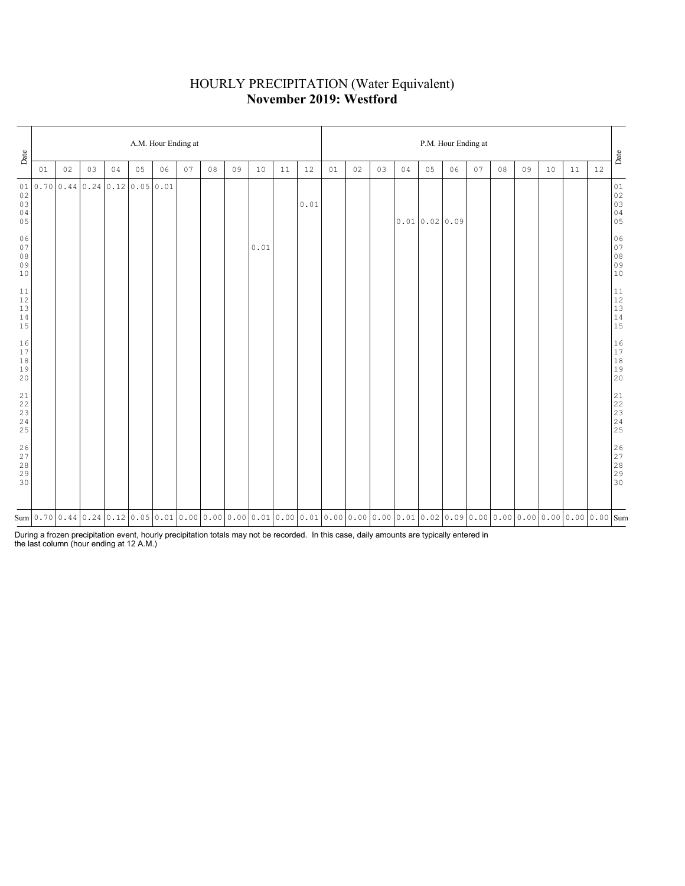### HOURLY PRECIPITATION (Water Equivalent) **November 2019: Westford**

| Date                                                                                             |    |    |    |    |                                 | A.M. Hour Ending at                                                                                                                                                                                                                                                                                                                                         |    |    |    |      |    |      | P.M. Hour Ending at |    |    |    |              |    |    |    |    |    |    |    |                                                           |
|--------------------------------------------------------------------------------------------------|----|----|----|----|---------------------------------|-------------------------------------------------------------------------------------------------------------------------------------------------------------------------------------------------------------------------------------------------------------------------------------------------------------------------------------------------------------|----|----|----|------|----|------|---------------------|----|----|----|--------------|----|----|----|----|----|----|----|-----------------------------------------------------------|
|                                                                                                  | 01 | 02 | 03 | 04 | 05                              | 06                                                                                                                                                                                                                                                                                                                                                          | 07 | 08 | 09 | 10   | 11 | 12   | 01                  | 02 | 03 | 04 | 05           | 06 | 07 | 08 | 09 | 10 | 11 | 12 | Date                                                      |
| 01<br>02<br>03<br>$0\,4$<br>05                                                                   |    |    |    |    | $0.70$ 0.44 0.24 0.12 0.05 0.01 |                                                                                                                                                                                                                                                                                                                                                             |    |    |    |      |    | 0.01 |                     |    |    |    | 0.010.020.09 |    |    |    |    |    |    |    | $0\,1$<br>$02$<br>$03$<br>$04$<br>$05$                    |
| 06<br>07<br>$0\,8$<br>09<br>10                                                                   |    |    |    |    |                                 |                                                                                                                                                                                                                                                                                                                                                             |    |    |    | 0.01 |    |      |                     |    |    |    |              |    |    |    |    |    |    |    | $06$<br>07<br>08<br>09<br>09<br>10                        |
| 11<br>$12$<br>$13$<br>$1\,4$<br>15                                                               |    |    |    |    |                                 |                                                                                                                                                                                                                                                                                                                                                             |    |    |    |      |    |      |                     |    |    |    |              |    |    |    |    |    |    |    | $\begin{array}{c} 11 \\ 12 \\ 13 \\ 14 \\ 15 \end{array}$ |
| 16<br>$17\,$<br>$1\,8$<br>19<br>20                                                               |    |    |    |    |                                 |                                                                                                                                                                                                                                                                                                                                                             |    |    |    |      |    |      |                     |    |    |    |              |    |    |    |    |    |    |    | $\begin{array}{c} 16 \\ 17 \\ 18 \\ 19 \\ 20 \end{array}$ |
| $\begin{array}{c} 21 \\ 22 \end{array}$<br>$\frac{23}{24}$<br>25                                 |    |    |    |    |                                 |                                                                                                                                                                                                                                                                                                                                                             |    |    |    |      |    |      |                     |    |    |    |              |    |    |    |    |    |    |    |                                                           |
| $\begin{array}{c} 2 \, 6 \\ 2 \, 7 \end{array}$<br>$\begin{array}{c} 28 \\ 29 \end{array}$<br>30 |    |    |    |    |                                 |                                                                                                                                                                                                                                                                                                                                                             |    |    |    |      |    |      |                     |    |    |    |              |    |    |    |    |    |    |    | 26<br>27<br>28<br>29<br>29<br>30                          |
|                                                                                                  |    |    |    |    |                                 | $\text{Sum}[\texttt{0.70}[\texttt{0.44}[\texttt{0.24}[\texttt{0.12}[\texttt{0.05}[\texttt{0.01}[\texttt{0.00}[\texttt{0.00}[\texttt{0.00}[\texttt{0.01}[\texttt{0.00}[\texttt{0.01}[\texttt{0.00}[\texttt{0.00}[\texttt{0.00}[\texttt{0.01}[\texttt{0.02}[\texttt{0.09}[\texttt{0.00}[\texttt{0.00}[\texttt{0.00}[\texttt{0.00}[\texttt{0.00}[\texttt{0.00$ |    |    |    |      |    |      |                     |    |    |    |              |    |    |    |    |    |    |    |                                                           |

During a frozen precipitation event, hourly precipitation totals may not be recorded. In this case, daily amounts are typically entered in the last column (hour ending at 12 A.M.)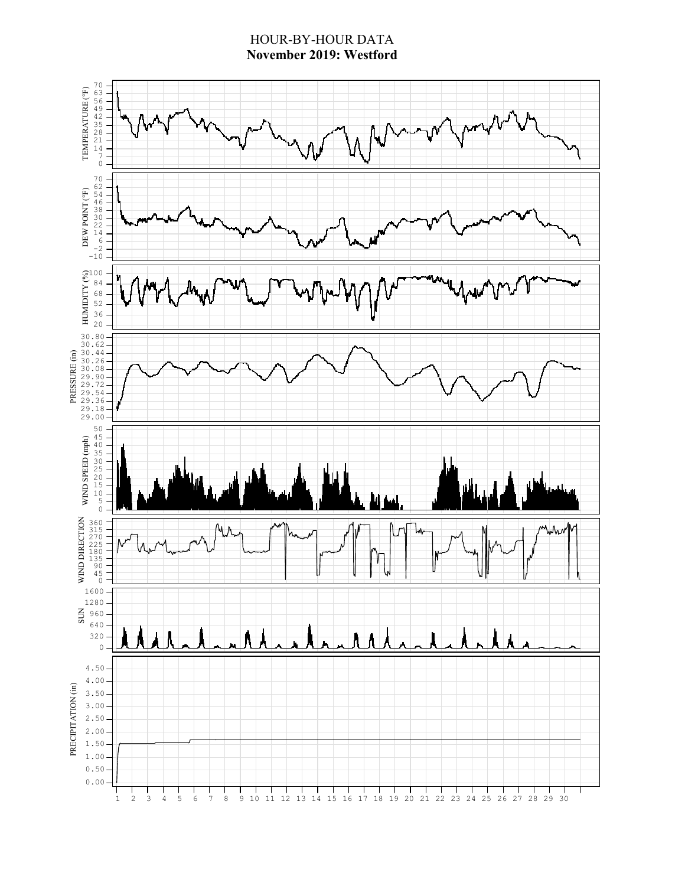### HOUR-BY-HOUR DATA **November 2019: Westford**